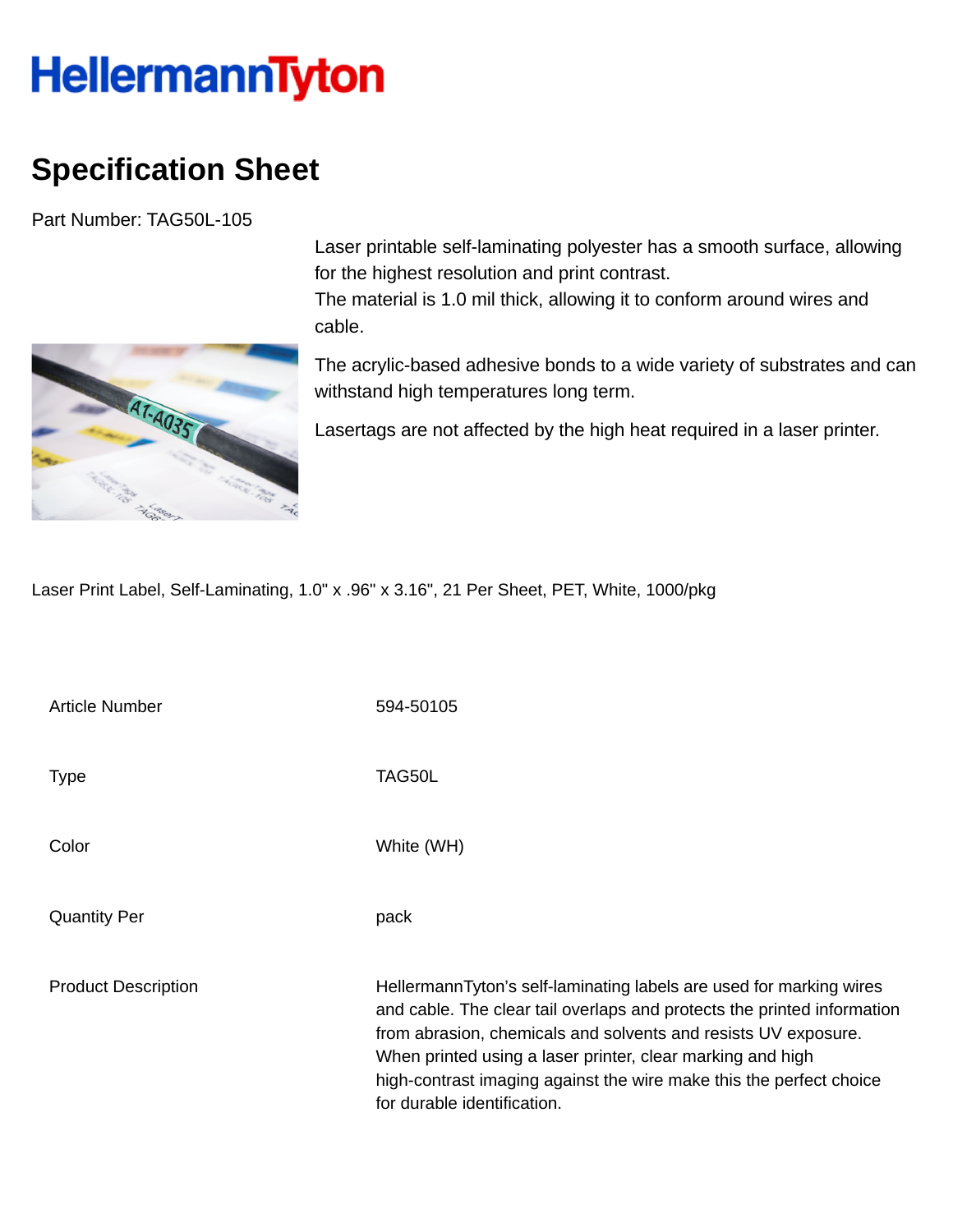## **HellermannTyton**

## **Specification Sheet**

Part Number: TAG50L-105



Laser printable self-laminating polyester has a smooth surface, allowing for the highest resolution and print contrast. The material is 1.0 mil thick, allowing it to conform around wires and

The acrylic-based adhesive bonds to a wide variety of substrates and can withstand high temperatures long term.

Lasertags are not affected by the high heat required in a laser printer.

Laser Print Label, Self-Laminating, 1.0" x .96" x 3.16", 21 Per Sheet, PET, White, 1000/pkg

cable.

| Article Number             | 594-50105                                                                                                                                                                                                                                                                                                                                                                            |
|----------------------------|--------------------------------------------------------------------------------------------------------------------------------------------------------------------------------------------------------------------------------------------------------------------------------------------------------------------------------------------------------------------------------------|
| <b>Type</b>                | TAG50L                                                                                                                                                                                                                                                                                                                                                                               |
| Color                      | White (WH)                                                                                                                                                                                                                                                                                                                                                                           |
| <b>Quantity Per</b>        | pack                                                                                                                                                                                                                                                                                                                                                                                 |
| <b>Product Description</b> | HellermannTyton's self-laminating labels are used for marking wires<br>and cable. The clear tail overlaps and protects the printed information<br>from abrasion, chemicals and solvents and resists UV exposure.<br>When printed using a laser printer, clear marking and high<br>high-contrast imaging against the wire make this the perfect choice<br>for durable identification. |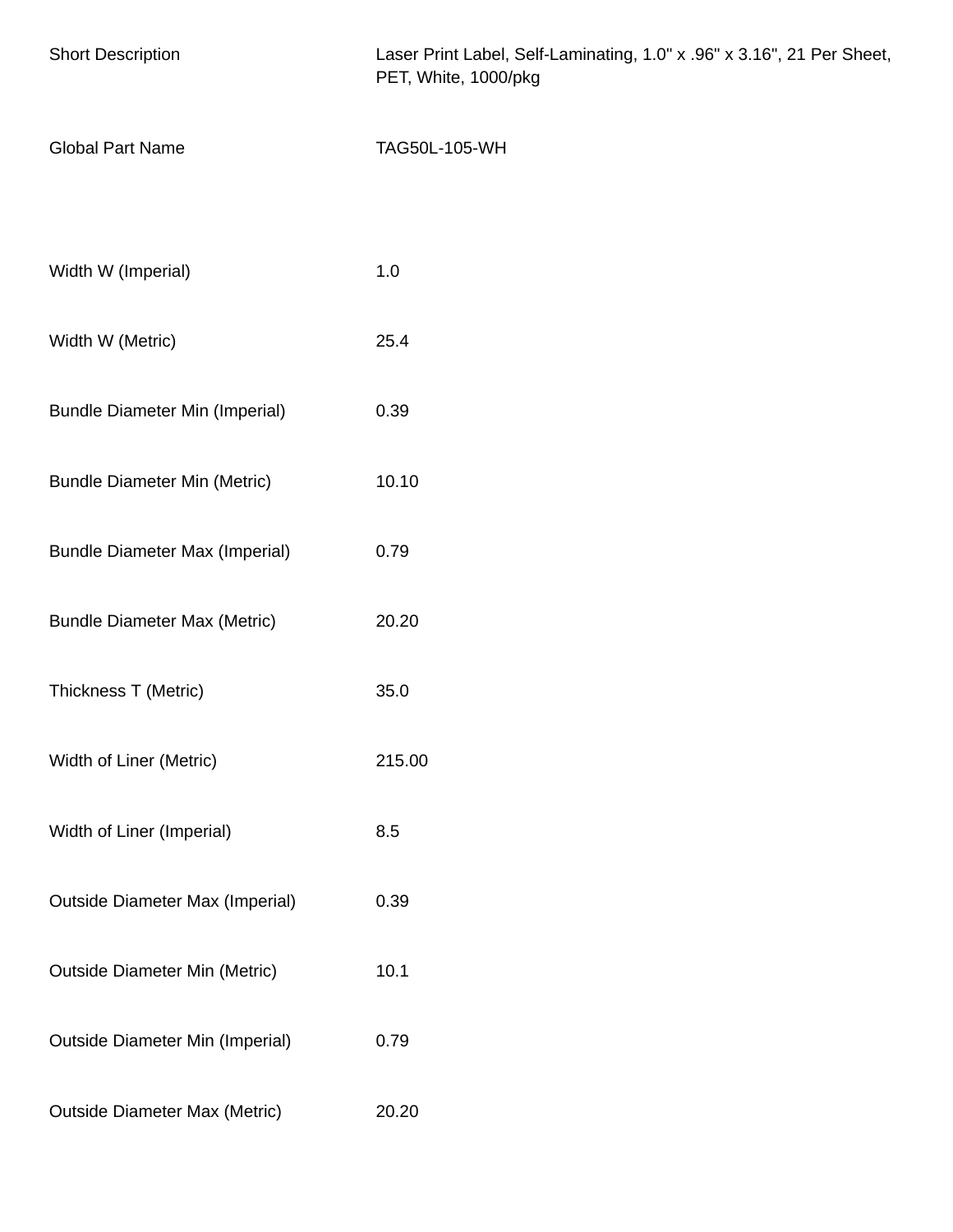| <b>Short Description</b>               | Laser Print Label, Self-Laminating, 1.0" x .96" x 3.16", 21 Per Sheet,<br>PET, White, 1000/pkg |
|----------------------------------------|------------------------------------------------------------------------------------------------|
| <b>Global Part Name</b>                | TAG50L-105-WH                                                                                  |
|                                        |                                                                                                |
| Width W (Imperial)                     | 1.0                                                                                            |
| Width W (Metric)                       | 25.4                                                                                           |
| <b>Bundle Diameter Min (Imperial)</b>  | 0.39                                                                                           |
| <b>Bundle Diameter Min (Metric)</b>    | 10.10                                                                                          |
| <b>Bundle Diameter Max (Imperial)</b>  | 0.79                                                                                           |
| <b>Bundle Diameter Max (Metric)</b>    | 20.20                                                                                          |
| Thickness T (Metric)                   | 35.0                                                                                           |
| Width of Liner (Metric)                | 215.00                                                                                         |
| Width of Liner (Imperial)              | 8.5                                                                                            |
| <b>Outside Diameter Max (Imperial)</b> | 0.39                                                                                           |
| <b>Outside Diameter Min (Metric)</b>   | 10.1                                                                                           |
| <b>Outside Diameter Min (Imperial)</b> | 0.79                                                                                           |
| <b>Outside Diameter Max (Metric)</b>   | 20.20                                                                                          |